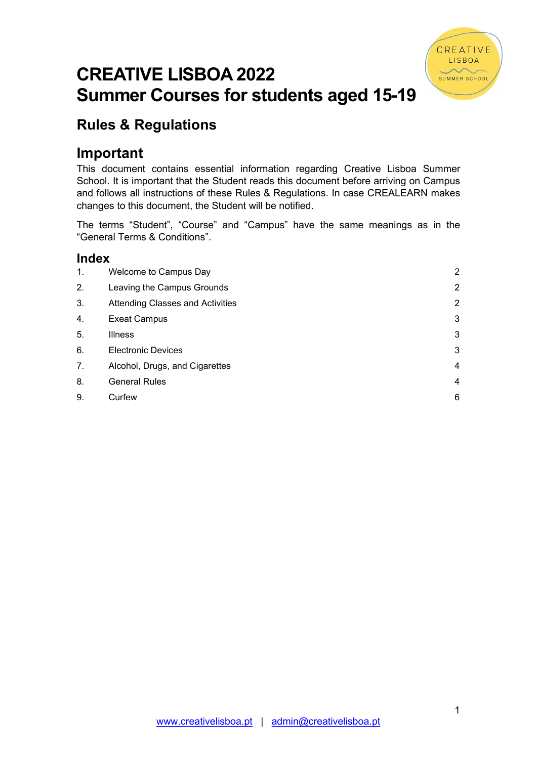

# CREATIVE LISBOA 2022 Summer Courses for students aged 15-19

# Rules & Regulations

# Important

This document contains essential information regarding Creative Lisboa Summer School. It is important that the Student reads this document before arriving on Campus and follows all instructions of these Rules & Regulations. In case CREALEARN makes changes to this document, the Student will be notified.

The terms "Student", "Course" and "Campus" have the same meanings as in the "General Terms & Conditions".

# Index

| $\mathbf{1}$ . | Welcome to Campus Day                   | $\overline{2}$ |
|----------------|-----------------------------------------|----------------|
| 2.             | Leaving the Campus Grounds              | $\overline{2}$ |
| 3.             | <b>Attending Classes and Activities</b> | $\overline{2}$ |
| 4.             | <b>Exeat Campus</b>                     | 3              |
| 5.             | <b>Illness</b>                          | 3              |
| 6.             | <b>Electronic Devices</b>               | 3              |
| 7.             | Alcohol, Drugs, and Cigarettes          | 4              |
| 8.             | <b>General Rules</b>                    | 4              |
| 9.             | Curfew                                  | 6              |
|                |                                         |                |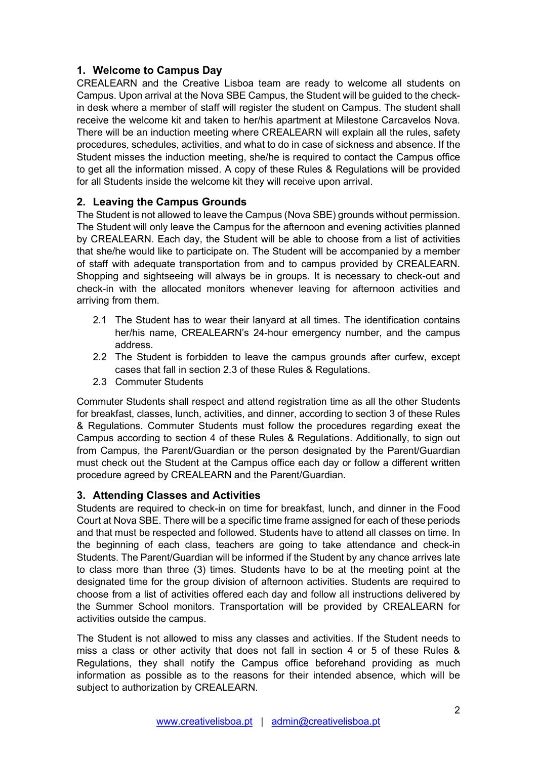# 1. Welcome to Campus Day

CREALEARN and the Creative Lisboa team are ready to welcome all students on Campus. Upon arrival at the Nova SBE Campus, the Student will be guided to the checkin desk where a member of staff will register the student on Campus. The student shall receive the welcome kit and taken to her/his apartment at Milestone Carcavelos Nova. There will be an induction meeting where CREALEARN will explain all the rules, safety procedures, schedules, activities, and what to do in case of sickness and absence. If the Student misses the induction meeting, she/he is required to contact the Campus office to get all the information missed. A copy of these Rules & Regulations will be provided for all Students inside the welcome kit they will receive upon arrival.

# 2. Leaving the Campus Grounds

The Student is not allowed to leave the Campus (Nova SBE) grounds without permission. The Student will only leave the Campus for the afternoon and evening activities planned by CREALEARN. Each day, the Student will be able to choose from a list of activities that she/he would like to participate on. The Student will be accompanied by a member of staff with adequate transportation from and to campus provided by CREALEARN. Shopping and sightseeing will always be in groups. It is necessary to check-out and check-in with the allocated monitors whenever leaving for afternoon activities and arriving from them.

- 2.1 The Student has to wear their lanyard at all times. The identification contains her/his name, CREALEARN's 24-hour emergency number, and the campus address.
- 2.2 The Student is forbidden to leave the campus grounds after curfew, except cases that fall in section 2.3 of these Rules & Regulations.
- 2.3 Commuter Students

Commuter Students shall respect and attend registration time as all the other Students for breakfast, classes, lunch, activities, and dinner, according to section 3 of these Rules & Regulations. Commuter Students must follow the procedures regarding exeat the Campus according to section 4 of these Rules & Regulations. Additionally, to sign out from Campus, the Parent/Guardian or the person designated by the Parent/Guardian must check out the Student at the Campus office each day or follow a different written procedure agreed by CREALEARN and the Parent/Guardian.

### 3. Attending Classes and Activities

Students are required to check-in on time for breakfast, lunch, and dinner in the Food Court at Nova SBE. There will be a specific time frame assigned for each of these periods and that must be respected and followed. Students have to attend all classes on time. In the beginning of each class, teachers are going to take attendance and check-in Students. The Parent/Guardian will be informed if the Student by any chance arrives late to class more than three (3) times. Students have to be at the meeting point at the designated time for the group division of afternoon activities. Students are required to choose from a list of activities offered each day and follow all instructions delivered by the Summer School monitors. Transportation will be provided by CREALEARN for activities outside the campus.

The Student is not allowed to miss any classes and activities. If the Student needs to miss a class or other activity that does not fall in section 4 or 5 of these Rules & Regulations, they shall notify the Campus office beforehand providing as much information as possible as to the reasons for their intended absence, which will be subject to authorization by CREALEARN.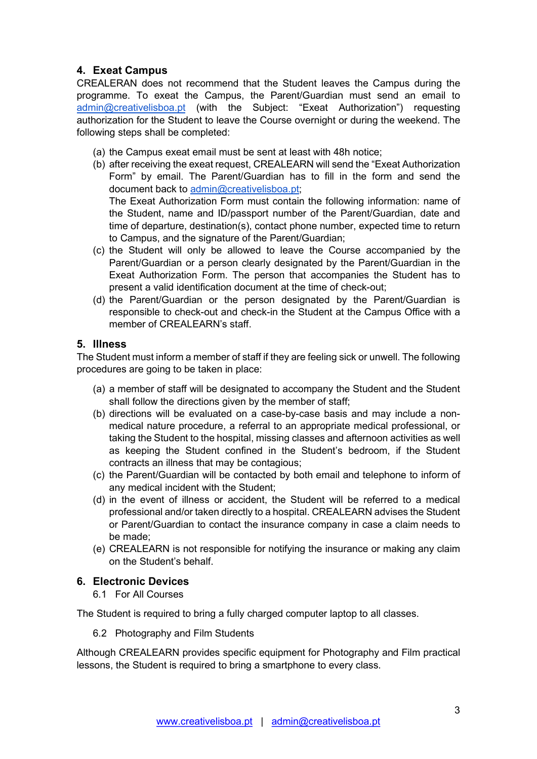# 4. Exeat Campus

CREALERAN does not recommend that the Student leaves the Campus during the programme. To exeat the Campus, the Parent/Guardian must send an email to admin@creativelisboa.pt (with the Subject: "Exeat Authorization") requesting authorization for the Student to leave the Course overnight or during the weekend. The following steps shall be completed:

- (a) the Campus exeat email must be sent at least with 48h notice;
- (b) after receiving the exeat request, CREALEARN will send the "Exeat Authorization Form" by email. The Parent/Guardian has to fill in the form and send the document back to admin@creativelisboa.pt; The Exeat Authorization Form must contain the following information: name of the Student, name and ID/passport number of the Parent/Guardian, date and time of departure, destination(s), contact phone number, expected time to return to Campus, and the signature of the Parent/Guardian;
- (c) the Student will only be allowed to leave the Course accompanied by the Parent/Guardian or a person clearly designated by the Parent/Guardian in the Exeat Authorization Form. The person that accompanies the Student has to present a valid identification document at the time of check-out;
- (d) the Parent/Guardian or the person designated by the Parent/Guardian is responsible to check-out and check-in the Student at the Campus Office with a member of CREALEARN's staff.

### 5. Illness

The Student must inform a member of staff if they are feeling sick or unwell. The following procedures are going to be taken in place:

- (a) a member of staff will be designated to accompany the Student and the Student shall follow the directions given by the member of staff;
- (b) directions will be evaluated on a case-by-case basis and may include a nonmedical nature procedure, a referral to an appropriate medical professional, or taking the Student to the hospital, missing classes and afternoon activities as well as keeping the Student confined in the Student's bedroom, if the Student contracts an illness that may be contagious;
- (c) the Parent/Guardian will be contacted by both email and telephone to inform of any medical incident with the Student;
- (d) in the event of illness or accident, the Student will be referred to a medical professional and/or taken directly to a hospital. CREALEARN advises the Student or Parent/Guardian to contact the insurance company in case a claim needs to be made;
- (e) CREALEARN is not responsible for notifying the insurance or making any claim on the Student's behalf.

### 6. Electronic Devices

6.1 For All Courses

The Student is required to bring a fully charged computer laptop to all classes.

6.2 Photography and Film Students

Although CREALEARN provides specific equipment for Photography and Film practical lessons, the Student is required to bring a smartphone to every class.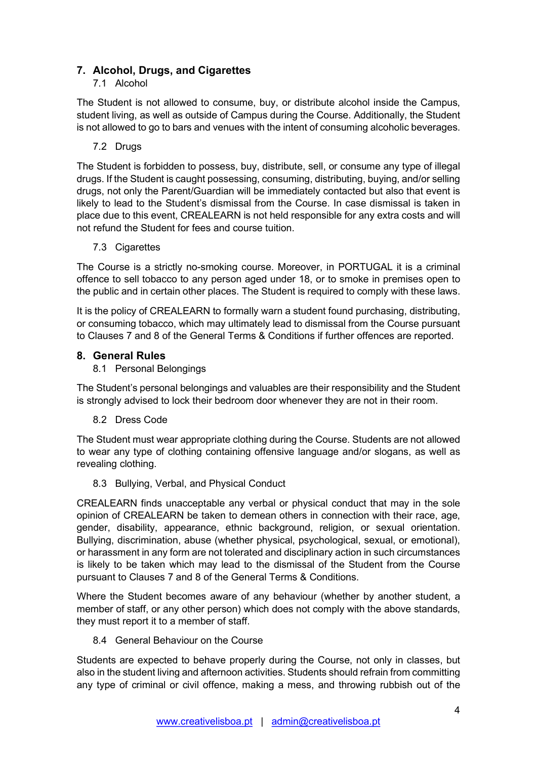# 7. Alcohol, Drugs, and Cigarettes

# 7.1 Alcohol

The Student is not allowed to consume, buy, or distribute alcohol inside the Campus, student living, as well as outside of Campus during the Course. Additionally, the Student is not allowed to go to bars and venues with the intent of consuming alcoholic beverages.

7.2 Drugs

The Student is forbidden to possess, buy, distribute, sell, or consume any type of illegal drugs. If the Student is caught possessing, consuming, distributing, buying, and/or selling drugs, not only the Parent/Guardian will be immediately contacted but also that event is likely to lead to the Student's dismissal from the Course. In case dismissal is taken in place due to this event, CREALEARN is not held responsible for any extra costs and will not refund the Student for fees and course tuition.

7.3 Cigarettes

The Course is a strictly no-smoking course. Moreover, in PORTUGAL it is a criminal offence to sell tobacco to any person aged under 18, or to smoke in premises open to the public and in certain other places. The Student is required to comply with these laws.

It is the policy of CREALEARN to formally warn a student found purchasing, distributing, or consuming tobacco, which may ultimately lead to dismissal from the Course pursuant to Clauses 7 and 8 of the General Terms & Conditions if further offences are reported.

### 8. General Rules

### 8.1 Personal Belongings

The Student's personal belongings and valuables are their responsibility and the Student is strongly advised to lock their bedroom door whenever they are not in their room.

### 8.2 Dress Code

The Student must wear appropriate clothing during the Course. Students are not allowed to wear any type of clothing containing offensive language and/or slogans, as well as revealing clothing.

8.3 Bullying, Verbal, and Physical Conduct

CREALEARN finds unacceptable any verbal or physical conduct that may in the sole opinion of CREALEARN be taken to demean others in connection with their race, age, gender, disability, appearance, ethnic background, religion, or sexual orientation. Bullying, discrimination, abuse (whether physical, psychological, sexual, or emotional), or harassment in any form are not tolerated and disciplinary action in such circumstances is likely to be taken which may lead to the dismissal of the Student from the Course pursuant to Clauses 7 and 8 of the General Terms & Conditions.

Where the Student becomes aware of any behaviour (whether by another student, a member of staff, or any other person) which does not comply with the above standards, they must report it to a member of staff.

### 8.4 General Behaviour on the Course

Students are expected to behave properly during the Course, not only in classes, but also in the student living and afternoon activities. Students should refrain from committing any type of criminal or civil offence, making a mess, and throwing rubbish out of the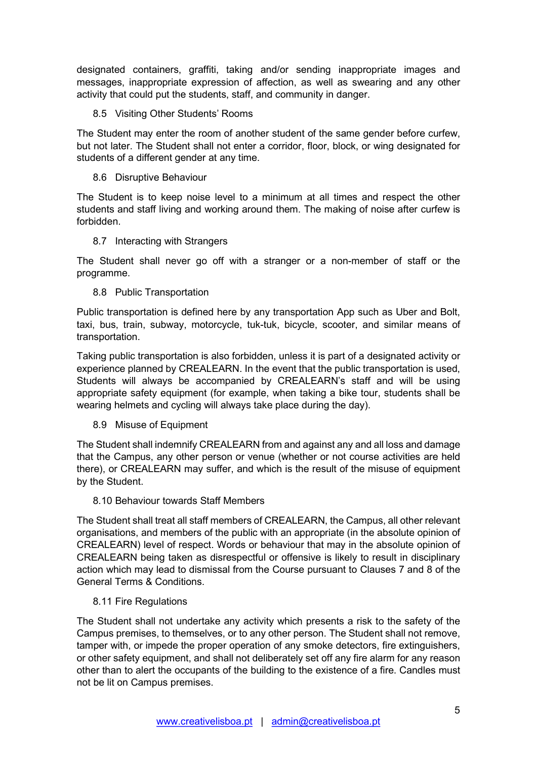designated containers, graffiti, taking and/or sending inappropriate images and messages, inappropriate expression of affection, as well as swearing and any other activity that could put the students, staff, and community in danger.

#### 8.5 Visiting Other Students' Rooms

The Student may enter the room of another student of the same gender before curfew, but not later. The Student shall not enter a corridor, floor, block, or wing designated for students of a different gender at any time.

#### 8.6 Disruptive Behaviour

The Student is to keep noise level to a minimum at all times and respect the other students and staff living and working around them. The making of noise after curfew is forbidden.

#### 8.7 Interacting with Strangers

The Student shall never go off with a stranger or a non-member of staff or the programme.

#### 8.8 Public Transportation

Public transportation is defined here by any transportation App such as Uber and Bolt, taxi, bus, train, subway, motorcycle, tuk-tuk, bicycle, scooter, and similar means of transportation.

Taking public transportation is also forbidden, unless it is part of a designated activity or experience planned by CREALEARN. In the event that the public transportation is used, Students will always be accompanied by CREALEARN's staff and will be using appropriate safety equipment (for example, when taking a bike tour, students shall be wearing helmets and cycling will always take place during the day).

#### 8.9 Misuse of Equipment

The Student shall indemnify CREALEARN from and against any and all loss and damage that the Campus, any other person or venue (whether or not course activities are held there), or CREALEARN may suffer, and which is the result of the misuse of equipment by the Student.

#### 8.10 Behaviour towards Staff Members

The Student shall treat all staff members of CREALEARN, the Campus, all other relevant organisations, and members of the public with an appropriate (in the absolute opinion of CREALEARN) level of respect. Words or behaviour that may in the absolute opinion of CREALEARN being taken as disrespectful or offensive is likely to result in disciplinary action which may lead to dismissal from the Course pursuant to Clauses 7 and 8 of the General Terms & Conditions.

### 8.11 Fire Regulations

The Student shall not undertake any activity which presents a risk to the safety of the Campus premises, to themselves, or to any other person. The Student shall not remove, tamper with, or impede the proper operation of any smoke detectors, fire extinguishers, or other safety equipment, and shall not deliberately set off any fire alarm for any reason other than to alert the occupants of the building to the existence of a fire. Candles must not be lit on Campus premises.